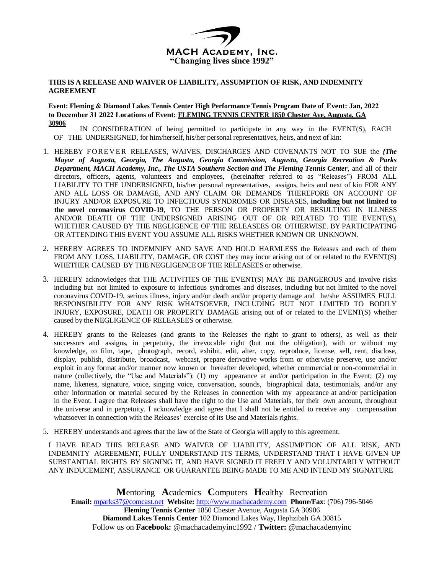

## **THIS IS A RELEASE AND WAIVER OF LIABILITY, ASSUMPTION OF RISK, AND INDEMNITY AGREEMENT**

## **Event: Fleming & Diamond Lakes Tennis Center High Performance Tennis Program Date of Event: Jan, 2022 to December 31 2022 Locations of Event: FLEMING TENNIS CENTER 1850 Chester Ave, Augusta, GA 30906**

IN CONSIDERATION of being permitted to participate in any way in the EVENT(S), EACH OF THE UNDERSIGNED, for him/herself, his/her personal representatives, heirs, and next of kin:

- 1. HEREBY FOREVER RELEASES, WAIVES, DISCHARGES AND COVENANTS NOT TO SUE the *{The Mayor of Augusta, Georgia, The Augusta, Georgia Commission, Augusta, Georgia Recreation & Parks Department, MACH Academy, Inc., The USTA Southern Section and The Fleming Tennis Center*, and all of their directors, officers, agents, volunteers and employees, (hereinafter referred to as "Releases") FROM ALL LIABILITY TO THE UNDERSIGNED, his/her personal representatives, assigns, heirs and next of kin FOR ANY AND ALL LOSS OR DAMAGE, AND ANY CLAIM OR DEMANDS THEREFORE ON ACCOUNT OF INJURY AND/OR EXPOSURE TO INFECTIOUS SYNDROMES OR DISEASES, **including but not limited to the novel coronavirus COVID-19**, TO THE PERSON OR PROPERTY OR RESULTING IN ILLNESS AND/OR DEATH OF THE UNDERSIGNED ARISING OUT OF OR RELATED TO THE EVENT(S), WHETHER CAUSED BY THE NEGLIGENCE OF THE RELEASEES OR OTHERWISE. BY PARTICIPATING OR ATTENDING THIS EVENT YOU ASSUME ALL RISKS WHETHER KNOWN OR UNKNOWN.
- 2. HEREBY AGREES TO INDEMNIFY AND SAVE AND HOLD HARMLESS the Releases and each of them FROM ANY LOSS, LIABILITY, DAMAGE, OR COST they may incur arising out of or related to the EVENT(S) WHETHER CAUSED BY THE NEGLIGENCE OF THE RELEASEES or otherwise.
- 3. HEREBY acknowledges that THE ACTIVITIES OF THE EVENT(S) MAY BE DANGEROUS and involve risks including but not limited to exposure to infectious syndromes and diseases, including but not limited to the novel coronavirus COVID-19, serious illness, injury and/or death and/or property damage and he/she ASSUMES FULL RESPONSIBILITY FOR ANY RISK WHATSOEVER, INCLUDING BUT NOT LIMITED TO BODILY INJURY, EXPOSURE, DEATH OR PROPERTY DAMAGE arising out of or related to the EVENT(S) whether caused by the NEGLIGENCE OF RELEASEES or otherwise.
- 4. HEREBY grants to the Releases (and grants to the Releases the right to grant to others), as well as their successors and assigns, in perpetuity, the irrevocable right (but not the obligation), with or without my knowledge, to film, tape, photograph, record, exhibit, edit, alter, copy, reproduce, license, sell, rent, disclose, display, publish, distribute, broadcast, webcast, prepare derivative works from or otherwise preserve, use and/or exploit in any format and/or manner now known or hereafter developed, whether commercial or non-commercial in nature (collectively, the "Use and Materials"): (1) my appearance at and/or participation in the Event; (2) my name, likeness, signature, voice, singing voice, conversation, sounds, biographical data, testimonials, and/or any other information or material secured by the Releases in connection with my appearance at and/or participation in the Event. I agree that Releases shall have the right to the Use and Materials, for their own account, throughout the universe and in perpetuity. I acknowledge and agree that I shall not be entitled to receive any compensation whatsoever in connection with the Releases' exercise of its Use and Materials rights.
- 5. HEREBY understands and agrees that the law of the State of Georgia will apply to this agreement.

I HAVE READ THIS RELEASE AND WAIVER OF LIABILITY, ASSUMPTION OF ALL RISK, AND INDEMNITY AGREEMENT, FULLY UNDERSTAND ITS TERMS, UNDERSTAND THAT I HAVE GIVEN UP SUBSTANTIAL RIGHTS BY SIGNING IT, AND HAVE SIGNED IT FREELY AND VOLUNTARILY WITHOUT ANY INDUCEMENT, ASSURANCE OR GUARANTEE BEING MADE TO ME AND INTEND MY SIGNATURE

**M**entoring **A**cademics **C**omputers **H**ealthy Recreation **Email:** mparks37@comcast.net **Website:** http://www.machacademy.com **Phone/Fax**: (706) 796-5046 **Fleming Tennis Center** 1850 Chester Avenue, Augusta GA 30906 **Diamond Lakes Tennis Center** 102 Diamond Lakes Way, Hephzibah GA 30815 Follow us on **Facebook:** @machacademyinc1992 / **Twitter:** @machacademyinc